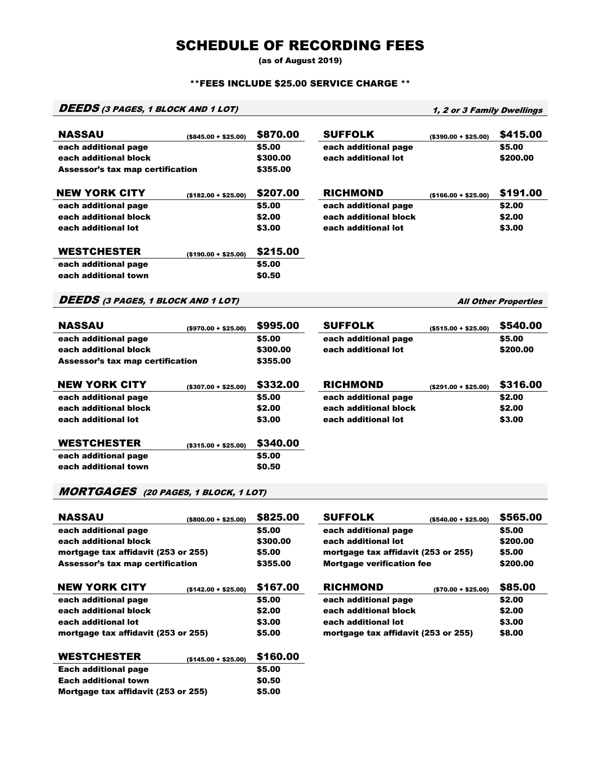# SCHEDULE OF RECORDING FEES

(as of August 2019)

#### \*\*FEES INCLUDE \$25.00 SERVICE CHARGE \*\*

## DEEDS (3 PAGES, 1 BLOCK AND 1 LOT) 1, 2 or 3 Family Dwellings

| <b>NASSAU</b>                               | $(S845.00 + S25.00)$    | \$870.00 | <b>SUFFOLK</b>        | $($ \$390.00 + \$25.00) | \$415.00                    |
|---------------------------------------------|-------------------------|----------|-----------------------|-------------------------|-----------------------------|
| each additional page                        |                         | \$5.00   | each additional page  |                         | \$5.00                      |
| each additional block                       |                         | \$300.00 | each additional lot   |                         | \$200.00                    |
| <b>Assessor's tax map certification</b>     |                         | \$355.00 |                       |                         |                             |
|                                             |                         |          |                       |                         |                             |
| <b>NEW YORK CITY</b>                        | $($182.00 + $25.00)$    | \$207.00 | <b>RICHMOND</b>       | $($166.00 + $25.00)$    | \$191.00                    |
| each additional page                        |                         | \$5.00   | each additional page  |                         | \$2.00                      |
| each additional block                       |                         | \$2.00   | each additional block |                         | \$2.00                      |
| each additional lot                         |                         | \$3.00   | each additional lot   |                         | \$3.00                      |
|                                             |                         |          |                       |                         |                             |
| <b>WESTCHESTER</b>                          | $( $190.00 + $25.00)$   | \$215.00 |                       |                         |                             |
| each additional page                        |                         | \$5.00   |                       |                         |                             |
| each additional town                        |                         | \$0.50   |                       |                         |                             |
|                                             |                         |          |                       |                         |                             |
| <b>DEEDS</b> (3 PAGES, 1 BLOCK AND 1 LOT)   |                         |          |                       |                         | <b>All Other Properties</b> |
|                                             |                         |          |                       |                         |                             |
|                                             |                         |          |                       |                         |                             |
| <b>NASSAU</b>                               | $($ \$970.00 + \$25.00) | \$995.00 | <b>SUFFOLK</b>        | $($ \$515.00 + \$25.00) | \$540.00                    |
| each additional page                        |                         | \$5.00   | each additional page  |                         | \$5.00                      |
| each additional block                       |                         | \$300.00 | each additional lot   |                         | \$200.00                    |
| <b>Assessor's tax map certification</b>     |                         | \$355.00 |                       |                         |                             |
|                                             |                         |          |                       |                         |                             |
| <b>NEW YORK CITY</b>                        | $($ \$307.00 + \$25.00) | \$332.00 | <b>RICHMOND</b>       | $( $291.00 + $25.00)$   | \$316.00                    |
| each additional page                        |                         | \$5.00   | each additional page  |                         | \$2.00                      |
| each additional block                       |                         | \$2.00   | each additional block |                         | \$2.00                      |
| each additional lot                         |                         | \$3.00   | each additional lot   |                         | \$3.00                      |
|                                             |                         |          |                       |                         |                             |
| <b>WESTCHESTER</b>                          | $($ \$315.00 + \$25.00) | \$340.00 |                       |                         |                             |
| each additional page                        |                         | \$5.00   |                       |                         |                             |
| each additional town                        |                         | \$0.50   |                       |                         |                             |
|                                             |                         |          |                       |                         |                             |
| <b>MORTGAGES</b> (20 PAGES, 1 BLOCK, 1 LOT) |                         |          |                       |                         |                             |

| <b>NASSAU</b>                       | $($ \$800.00 + \$25.00) | \$825.00 | <b>SUFFOLK</b>                      | $($ \$540.00 + \$25.00) | \$565.00 |
|-------------------------------------|-------------------------|----------|-------------------------------------|-------------------------|----------|
| each additional page                |                         | \$5.00   | each additional page                |                         | \$5.00   |
| each additional block               |                         | \$300.00 | each additional lot                 |                         | \$200.00 |
| mortgage tax affidavit (253 or 255) |                         | \$5.00   | mortgage tax affidavit (253 or 255) |                         | \$5.00   |
| Assessor's tax map certification    |                         | \$355.00 | <b>Mortgage verification fee</b>    |                         | \$200.00 |
| <b>NEW YORK CITY</b>                | $($142.00 + $25.00)$    | \$167.00 | <b>RICHMOND</b>                     | $( $70.00 + $25.00)$    | \$85,00  |
| each additional page                |                         | \$5.00   | each additional page                |                         | \$2.00   |
| each additional block               |                         | \$2.00   | each additional block               |                         | \$2.00   |
| each additional lot                 |                         | \$3.00   | each additional lot                 |                         | \$3.00   |
| mortgage tax affidavit (253 or 255) |                         | \$5.00   | mortgage tax affidavit (253 or 255) |                         | \$8.00   |
| <b>WESTCHESTER</b>                  | $(S145.00 + S25.00)$    | \$160.00 |                                     |                         |          |
| <b>Each additional page</b>         |                         | \$5.00   |                                     |                         |          |
| <b>Each additional town</b>         |                         | \$0.50   |                                     |                         |          |
| Mortgage tax affidavit (253 or 255) |                         | \$5.00   |                                     |                         |          |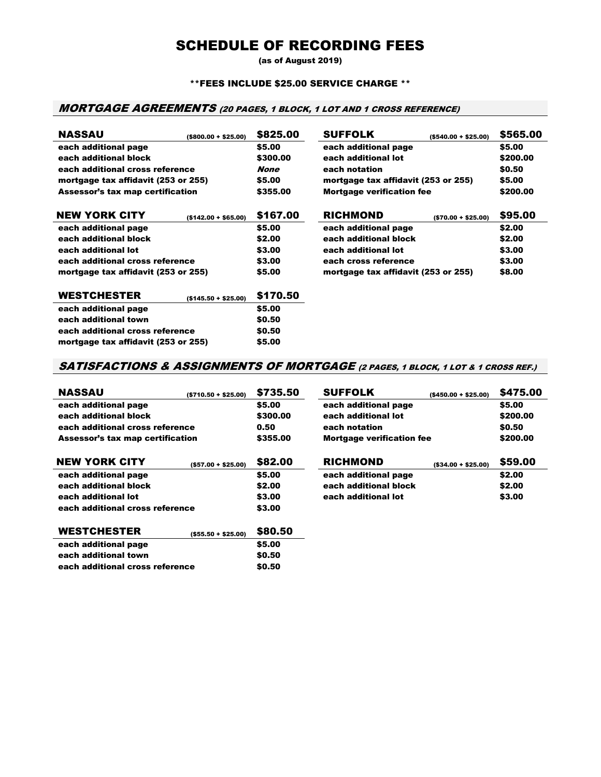## SCHEDULE OF RECORDING FEES

(as of August 2019)

#### \*\*FEES INCLUDE \$25.00 SERVICE CHARGE \*\*

### MORTGAGE AGREEMENTS (20 PAGES, 1 BLOCK, 1 LOT AND 1 CROSS REFERENCE)

| <b>NASSAU</b>                           | $($800.00 + $25.00)$ | \$825.00    | <b>SUFFOLK</b>                      | $($ \$540.00 + \$25.00) | \$565.00 |
|-----------------------------------------|----------------------|-------------|-------------------------------------|-------------------------|----------|
| each additional page                    |                      | \$5.00      | each additional page                |                         | \$5.00   |
| each additional block                   |                      | \$300.00    | each additional lot                 |                         | \$200.00 |
| each additional cross reference         |                      | <b>None</b> | each notation                       |                         | \$0.50   |
| mortgage tax affidavit (253 or 255)     |                      | \$5.00      | mortgage tax affidavit (253 or 255) |                         | \$5.00   |
| <b>Assessor's tax map certification</b> |                      | \$355.00    | <b>Mortgage verification fee</b>    |                         | \$200.00 |
| <b>NEW YORK CITY</b>                    | $($142.00 + $65.00)$ | \$167.00    | <b>RICHMOND</b>                     | $( $70.00 + $25.00)$    | \$95.00  |
| each additional page                    |                      | \$5.00      | each additional page                |                         | \$2.00   |
| each additional block                   |                      | \$2.00      | each additional block               |                         | \$2.00   |
| each additional lot                     |                      | \$3.00      | each additional lot                 |                         | \$3.00   |
| each additional cross reference         |                      | \$3.00      | each cross reference                |                         | \$3.00   |
| mortgage tax affidavit (253 or 255)     |                      | \$5.00      | mortgage tax affidavit (253 or 255) |                         | \$8.00   |
| <b>WESTCHESTER</b>                      | $($145.50 + $25.00)$ | \$170.50    |                                     |                         |          |
| each additional page                    |                      | \$5.00      |                                     |                         |          |
| each additional town                    |                      | \$0.50      |                                     |                         |          |
| each additional cross reference         |                      | \$0.50      |                                     |                         |          |

### SATISFACTIONS & ASSIGNMENTS OF MORTGAGE (2 PAGES, 1 BLOCK, 1 LOT & 1 CROSS REF.)

mortgage tax affidavit (253 or 255) \$5.00

| <b>NASSAU</b>                    | $(5710.50 + $25.00)$   | \$735.50 | <b>SUFFOLK</b>                   | $($ \$450.00 + \$25.00) | \$475.00 |
|----------------------------------|------------------------|----------|----------------------------------|-------------------------|----------|
| each additional page             |                        | \$5.00   | each additional page             |                         | \$5.00   |
| each additional block            |                        | \$300.00 | each additional lot              |                         | \$200.00 |
| each additional cross reference  |                        | 0.50     | each notation                    |                         | \$0.50   |
| Assessor's tax map certification |                        | \$355.00 | <b>Mortgage verification fee</b> |                         | \$200.00 |
| <b>NEW YORK CITY</b>             | $(S57.00 + S25.00)$    | \$82,00  | <b>RICHMOND</b>                  | $(S34.00 + S25.00)$     | \$59.00  |
| each additional page             |                        | \$5.00   | each additional page             |                         | \$2.00   |
| each additional block            |                        | \$2.00   | each additional block            |                         | \$2.00   |
| each additional lot              |                        | \$3.00   | each additional lot              |                         | \$3.00   |
| each additional cross reference  |                        | \$3.00   |                                  |                         |          |
| <b>WESTCHESTER</b>               | $($ \$55.50 + \$25.00) | \$80.50  |                                  |                         |          |
| each additional page             |                        | \$5.00   |                                  |                         |          |
| each additional town             |                        | \$0.50   |                                  |                         |          |
| each additional cross reference  |                        | \$0.50   |                                  |                         |          |